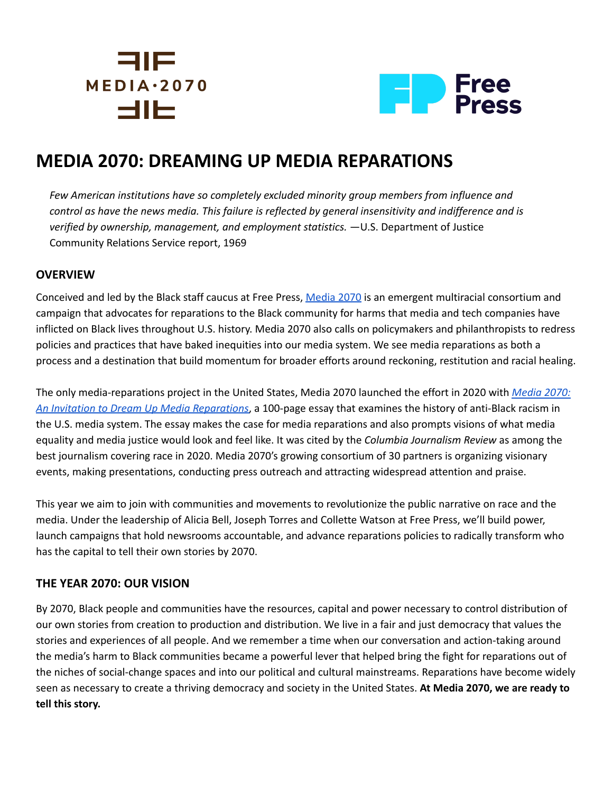# 31 F  $MEDIA.2070$ <u>SIIIE</u>



# **MEDIA 2070: DREAMING UP MEDIA REPARATIONS**

*Few American institutions have so completely excluded minority group members from influence and* control as have the news media. This failure is reflected by general insensitivity and indifference and is *verified by ownership, management, and employment statistics.* —U.S. Department of Justice Community Relations Service report, 1969

## **OVERVIEW**

Conceived and led by the Black staff caucus at Free Press, [Media](https://mediareparations.org/about/) 2070 is an emergent multiracial consortium and campaign that advocates for reparations to the Black community for harms that media and tech companies have inflicted on Black lives throughout U.S. history. Media 2070 also calls on policymakers and philanthropists to redress policies and practices that have baked inequities into our media system. We see media reparations as both a process and a destination that build momentum for broader efforts around reckoning, restitution and racial healing.

The only media-reparations project in the United States, Media 2070 launched the effort in 2020 with *[Media](https://mediareparations.org/essay/) 2070: An Invitation to Dream Up Media [Reparations](https://mediareparations.org/essay/)*, a 100-page essay that examines the history of anti-Black racism in the U.S. media system. The essay makes the case for media reparations and also prompts visions of what media equality and media justice would look and feel like. It was cited by the *Columbia Journalism Review* as among the best journalism covering race in 2020. Media 2070's growing consortium of 30 partners is organizing visionary events, making presentations, conducting press outreach and attracting widespread attention and praise.

This year we aim to join with communities and movements to revolutionize the public narrative on race and the media. Under the leadership of Alicia Bell, Joseph Torres and Collette Watson at Free Press, we'll build power, launch campaigns that hold newsrooms accountable, and advance reparations policies to radically transform who has the capital to tell their own stories by 2070.

# **THE YEAR 2070: OUR VISION**

By 2070, Black people and communities have the resources, capital and power necessary to control distribution of our own stories from creation to production and distribution. We live in a fair and just democracy that values the stories and experiences of all people. And we remember a time when our conversation and action-taking around the media's harm to Black communities became a powerful lever that helped bring the fight for reparations out of the niches of social-change spaces and into our political and cultural mainstreams. Reparations have become widely seen as necessary to create a thriving democracy and society in the United States. **At Media 2070, we are ready to tell this story.**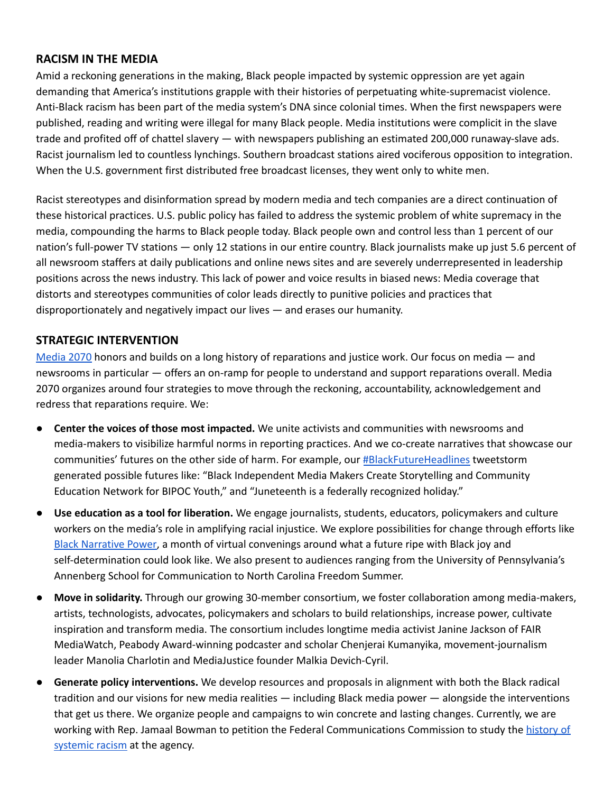#### **RACISM IN THE MEDIA**

Amid a reckoning generations in the making, Black people impacted by systemic oppression are yet again demanding that America's institutions grapple with their histories of perpetuating white-supremacist violence. Anti-Black racism has been part of the media system's DNA since colonial times. When the first newspapers were published, reading and writing were illegal for many Black people. Media institutions were complicit in the slave trade and profited off of chattel slavery — with newspapers publishing an estimated 200,000 runaway-slave ads. Racist journalism led to countless lynchings. Southern broadcast stations aired vociferous opposition to integration. When the U.S. government first distributed free broadcast licenses, they went only to white men.

Racist stereotypes and disinformation spread by modern media and tech companies are a direct continuation of these historical practices. U.S. public policy has failed to address the systemic problem of white supremacy in the media, compounding the harms to Black people today. Black people own and control less than 1 percent of our nation's full-power TV stations — only 12 stations in our entire country. Black journalists make up just 5.6 percent of all newsroom staffers at daily publications and online news sites and are severely underrepresented in leadership positions across the news industry. This lack of power and voice results in biased news: Media coverage that distorts and stereotypes communities of color leads directly to punitive policies and practices that disproportionately and negatively impact our lives — and erases our humanity.

#### **STRATEGIC INTERVENTION**

[Media](https://mediareparations.org/about/) 2070 honors and builds on a long history of reparations and justice work. Our focus on media — and newsrooms in particular — offers an on-ramp for people to understand and support reparations overall. Media 2070 organizes around four strategies to move through the reckoning, accountability, acknowledgement and redress that reparations require. We:

- **Center the voices of those most impacted.** We unite activists and communities with newsrooms and media-makers to visibilize harmful norms in reporting practices. And we co-create narratives that showcase our communities' futures on the other side of harm. For example, our [#BlackFutureHeadlines](https://twitter.com/search?q=%23blackfutureheadlines) tweetstorm generated possible futures like: "Black Independent Media Makers Create Storytelling and Community Education Network for BIPOC Youth," and "Juneteenth is a federally recognized holiday."
- **Use education as a tool for liberation.** We engage journalists, students, educators, policymakers and culture workers on the media's role in amplifying racial injustice. We explore possibilities for change through efforts like Black [Narrative](https://www.freepress.net/our-response/advocacy-organizing/stories-field/future-ripe-black-joy-and-self-determination) Power, a month of virtual convenings around what a future ripe with Black joy and self-determination could look like. We also present to audiences ranging from the University of Pennsylvania's Annenberg School for Communication to North Carolina Freedom Summer.
- **Move in solidarity.** Through our growing 30-member consortium, we foster collaboration among media-makers, artists, technologists, advocates, policymakers and scholars to build relationships, increase power, cultivate inspiration and transform media. The consortium includes longtime media activist Janine Jackson of FAIR MediaWatch, Peabody Award-winning podcaster and scholar Chenjerai Kumanyika, movement-journalism leader Manolia Charlotin and MediaJustice founder Malkia Devich-Cyril.
- Generate policy interventions. We develop resources and proposals in alignment with both the Black radical tradition and our visions for new media realities — including Black media power — alongside the interventions that get us there. We organize people and campaigns to win concrete and lasting changes. Currently, we are working with Rep. Jamaal Bowman to petition the Federal Communications Commission to study the [history](https://docs.google.com/document/d/1pWWdI9VAUUgPAyRSdorJpOwIcvh9IXILQ6qSNoy5hqE/edit) of [systemic](https://docs.google.com/document/d/1pWWdI9VAUUgPAyRSdorJpOwIcvh9IXILQ6qSNoy5hqE/edit) racism at the agency.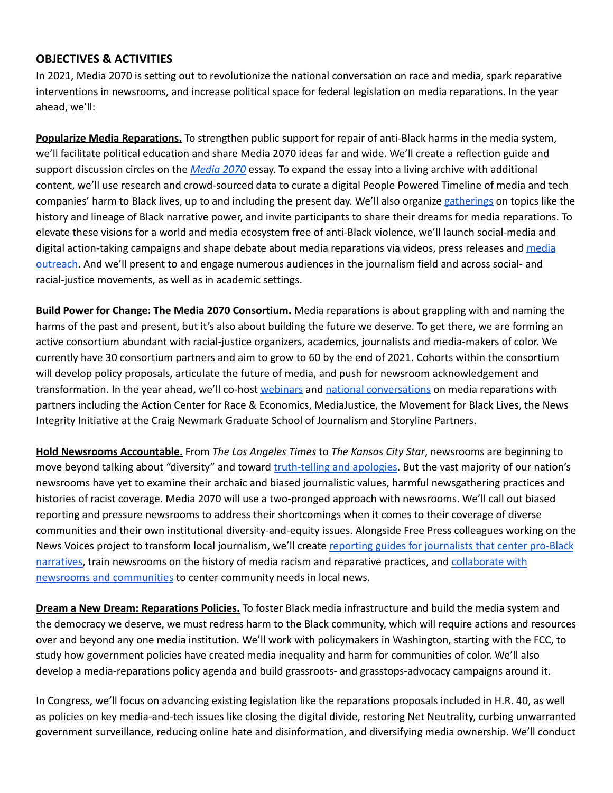#### **OBJECTIVES & ACTIVITIES**

In 2021, Media 2070 is setting out to revolutionize the national conversation on race and media, spark reparative interventions in newsrooms, and increase political space for federal legislation on media reparations. In the year ahead, we'll:

**Popularize Media Reparations.** To strengthen public support for repair of anti-Black harms in the media system, we'll facilitate political education and share Media 2070 ideas far and wide. We'll create a reflection guide and support discussion circles on the *[Media](https://mediareparations.org/essay/) 2070* essay. To expand the essay into a living archive with additional content, we'll use research and crowd-sourced data to curate a digital People Powered Timeline of media and tech companies' harm to Black lives, up to and including the present day. We'll also organize [gatherings](https://mediareparations.org/february-2021-is-black-narrative-power-month-at-media-2070/) on topics like the history and lineage of Black narrative power, and invite participants to share their dreams for media reparations. To elevate these visions for a world and media ecosystem free of anti-Black violence, we'll launch social-media and digital action-taking campaigns and shape debate about [media](https://www.cjr.org/the_media_today/best-journalism-2020-racial-justice.php) reparations via videos, press releases and media [outreach.](https://www.cjr.org/the_media_today/best-journalism-2020-racial-justice.php) And we'll present to and engage numerous audiences in the journalism field and across social- and racial-justice movements, as well as in academic settings.

**Build Power for Change: The Media 2070 Consortium.** Media reparations is about grappling with and naming the harms of the past and present, but it's also about building the future we deserve. To get there, we are forming an active consortium abundant with racial-justice organizers, academics, journalists and media-makers of color. We currently have 30 consortium partners and aim to grow to 60 by the end of 2021. Cohorts within the consortium will develop policy proposals, articulate the future of media, and push for newsroom acknowledgement and transformation. In the year ahead, we'll co-host [webinars](https://www.facebook.com/freepress/videos/250952146568320) and national [conversations](https://www.youtube.com/watch?v=v2t5ublxbDc) on media reparations with partners including the Action Center for Race & Economics, MediaJustice, the Movement for Black Lives, the News Integrity Initiative at the Craig Newmark Graduate School of Journalism and Storyline Partners.

**Hold Newsrooms Accountable.** From *The Los Angeles Times* to *The Kansas City Star*, newsrooms are beginning to move beyond talking about "diversity" and toward [truth-telling](https://mediareparations.org/kansas-city-stars-apology-is-part-of-a-larger-racial-reckoning/) and apologies. But the vast majority of our nation's newsrooms have yet to examine their archaic and biased journalistic values, harmful newsgathering practices and histories of racist coverage. Media 2070 will use a two-pronged approach with newsrooms. We'll call out biased reporting and pressure newsrooms to address their shortcomings when it comes to their coverage of diverse communities and their own institutional diversity-and-equity issues. Alongside Free Press colleagues working on the News Voices project to transform local journalism, we'll create reporting guides for [journalists](https://docs.google.com/document/d/1JLLfxuKp68DTSLPbeJLTx4a_0-4sTVZDK81cqSoFc8k/edit) that center pro-Black [narratives,](https://docs.google.com/document/d/1JLLfxuKp68DTSLPbeJLTx4a_0-4sTVZDK81cqSoFc8k/edit) train newsrooms on the history of media racism and reparative practices, and [collaborate](https://www.freepress.net/issues/future-journalism/local-journalism/where-were-working/news-voices-philadelphia) with newsrooms and [communities](https://www.freepress.net/issues/future-journalism/local-journalism/where-were-working/news-voices-philadelphia) to center community needs in local news.

**Dream a New Dream: Reparations Policies.** To foster Black media infrastructure and build the media system and the democracy we deserve, we must redress harm to the Black community, which will require actions and resources over and beyond any one media institution. We'll work with policymakers in Washington, starting with the FCC, to study how government policies have created media inequality and harm for communities of color. We'll also develop a media-reparations policy agenda and build grassroots- and grasstops-advocacy campaigns around it.

In Congress, we'll focus on advancing existing legislation like the reparations proposals included in H.R. 40, as well as policies on key media-and-tech issues like closing the digital divide, restoring Net Neutrality, curbing unwarranted government surveillance, reducing online hate and disinformation, and diversifying media ownership. We'll conduct